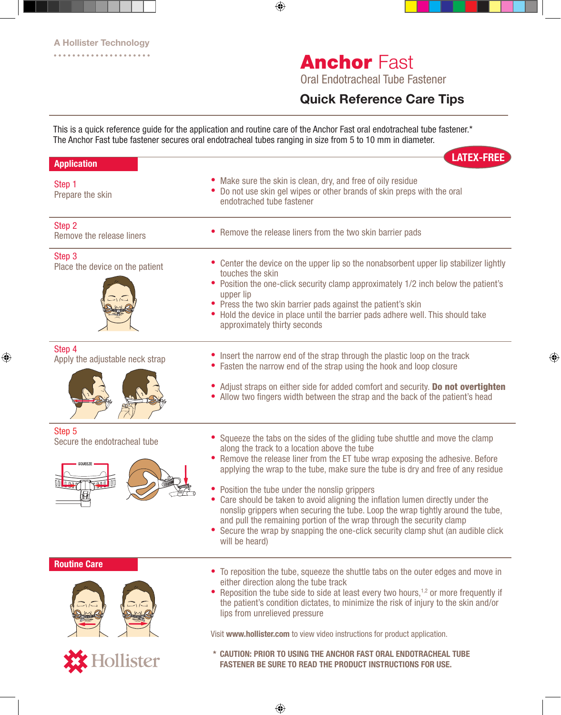# **Anchor Fast**

Oral Endotracheal Tube Fastener

### Quick Reference Care Tips

This is a quick reference guide for the application and routine care of the Anchor Fast oral endotracheal tube fastener.\* The Anchor Fast tube fastener secures oral endotracheal tubes ranging in size from 5 to 10 mm in diameter.

| <b>Application</b>                        | <b>LATEX-FREE</b>                                                                                                                                                                                                                                                                                                                                                                                                                                                                                                                                                                                                                                                                                               |
|-------------------------------------------|-----------------------------------------------------------------------------------------------------------------------------------------------------------------------------------------------------------------------------------------------------------------------------------------------------------------------------------------------------------------------------------------------------------------------------------------------------------------------------------------------------------------------------------------------------------------------------------------------------------------------------------------------------------------------------------------------------------------|
| Step 1<br>Prepare the skin                | • Make sure the skin is clean, dry, and free of oily residue<br>• Do not use skin gel wipes or other brands of skin preps with the oral<br>endotrached tube fastener                                                                                                                                                                                                                                                                                                                                                                                                                                                                                                                                            |
| Step 2<br>Remove the release liners       | • Remove the release liners from the two skin barrier pads                                                                                                                                                                                                                                                                                                                                                                                                                                                                                                                                                                                                                                                      |
| Step 3<br>Place the device on the patient | • Center the device on the upper lip so the nonabsorbent upper lip stabilizer lightly<br>touches the skin<br>• Position the one-click security clamp approximately 1/2 inch below the patient's<br>upper lip<br>• Press the two skin barrier pads against the patient's skin<br>• Hold the device in place until the barrier pads adhere well. This should take<br>approximately thirty seconds                                                                                                                                                                                                                                                                                                                 |
| Step 4<br>Apply the adjustable neck strap | • Insert the narrow end of the strap through the plastic loop on the track<br>• Fasten the narrow end of the strap using the hook and loop closure<br>• Adjust straps on either side for added comfort and security. Do not overtighten<br>• Allow two fingers width between the strap and the back of the patient's head                                                                                                                                                                                                                                                                                                                                                                                       |
| Step 5<br>Secure the endotracheal tube    | • Squeeze the tabs on the sides of the gliding tube shuttle and move the clamp<br>along the track to a location above the tube<br>• Remove the release liner from the ET tube wrap exposing the adhesive. Before<br>applying the wrap to the tube, make sure the tube is dry and free of any residue<br>• Position the tube under the nonslip grippers<br>Care should be taken to avoid aligning the inflation lumen directly under the<br>٠<br>nonslip grippers when securing the tube. Loop the wrap tightly around the tube,<br>and pull the remaining portion of the wrap through the security clamp<br>• Secure the wrap by snapping the one-click security clamp shut (an audible click<br>will be heard) |
| <b>Routine Care</b>                       | • To reposition the tube, squeeze the shuttle tabs on the outer edges and move in<br>either direction along the tube track<br>• Reposition the tube side to side at least every two hours, <sup>1,2</sup> or more frequently if<br>the patient's condition dictates, to minimize the risk of injury to the skin and/or<br>lips from unrelieved pressure<br>Visit www.hollister.com to view video instructions for product application.                                                                                                                                                                                                                                                                          |
| <b>K</b> Hollister                        | * CAUTION: PRIOR TO USING THE ANCHOR FAST ORAL ENDOTRACHEAL TUBE<br><b>FASTENER BE SURE TO READ THE PRODUCT INSTRUCTIONS FOR USE.</b>                                                                                                                                                                                                                                                                                                                                                                                                                                                                                                                                                                           |